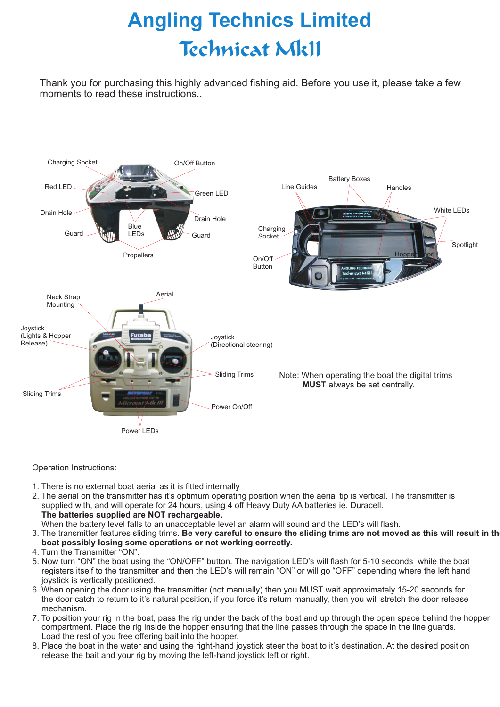# **Angling Technics Limited Technicat MkII**

Thank you for purchasing this highly advanced fishing aid. Before you use it, please take a few moments to read these instructions..



Operation Instructions:

- 1. There is no external boat aerial as it is fitted internally
- 2. The aerial on the transmitter has it's optimum operating position when the aerial tip is vertical. The transmitter is supplied with, and will operate for 24 hours, using 4 off Heavy Duty AA batteries ie. Duracell. **The batteries supplied are NOT rechargeable.**

When the battery level falls to an unacceptable level an alarm will sound and the LED's will flash.

- 3. The transmitter features sliding trims. Be very careful to ensure the sliding trims are not moved as this will result in th  **boat possibly losing some operations or not working correctly.**
- 4. Turn the Transmitter "ON".
- 5. Now turn "ON" the boat using the "ON/OFF" button. The navigation LED's will flash for 5-10 seconds while the boat registers itself to the transmitter and then the LED's will remain "ON" or will go "OFF" depending where the left hand joystick is vertically positioned.
- 6. When opening the door using the transmitter (not manually) then you MUST wait approximately 15-20 seconds for the door catch to return to it's natural position, if you force it's return manually, then you will stretch the door release mechanism.
- 7. To position your rig in the boat, pass the rig under the back of the boat and up through the open space behind the hopper compartment. Place the rig inside the hopper ensuring that the line passes through the space in the line guards. Load the rest of you free offering bait into the hopper.
- 8. Place the boat in the water and using the right-hand joystick steer the boat to it's destination. At the desired position release the bait and your rig by moving the left-hand joystick left or right.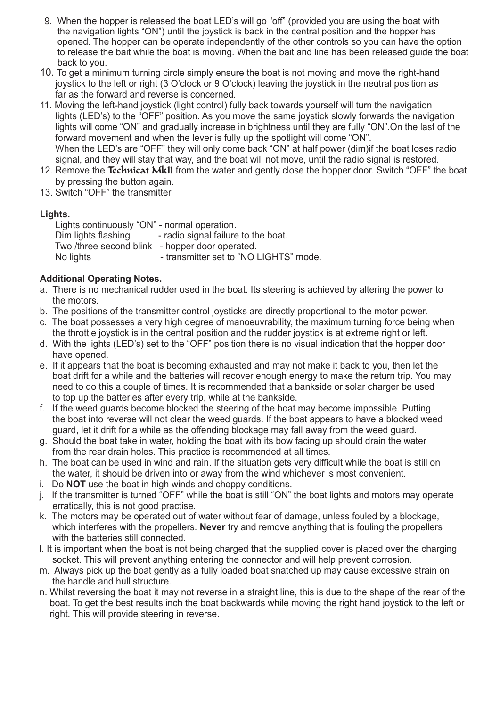- 9. When the hopper is released the boat LED's will go "off" (provided you are using the boat with the navigation lights "ON") until the joystick is back in the central position and the hopper has opened. The hopper can be operate independently of the other controls so you can have the option to release the bait while the boat is moving. When the bait and line has been released guide the boat back to you.
- 10. To get a minimum turning circle simply ensure the boat is not moving and move the right-hand joystick to the left or right (3 O'clock or 9 O'clock) leaving the joystick in the neutral position as far as the forward and reverse is concerned.
- 11. Moving the left-hand joystick (light control) fully back towards yourself will turn the navigation lights (LED's) to the "OFF" position. As you move the same joystick slowly forwards the navigation lights will come "ON" and gradually increase in brightness until they are fully "ON".On the last of the forward movement and when the lever is fully up the spotlight will come "ON". When the LED's are "OFF" they will only come back "ON" at half power (dim)if the boat loses radio signal, and they will stay that way, and the boat will not move, until the radio signal is restored.
- 12. Remove the Technicat Mk11 from the water and gently close the hopper door. Switch "OFF" the boat by pressing the button again.
- 13. Switch "OFF" the transmitter.

# **Lights.**

Lights continuously "ON" - normal operation. Dim lights flashing - radio signal failure to the boat. Two /three second blink - hopper door operated. No lights - transmitter set to "NO LIGHTS" mode.

# **Additional Operating Notes.**

- a. There is no mechanical rudder used in the boat. Its steering is achieved by altering the power to the motors.
- b. The positions of the transmitter control joysticks are directly proportional to the motor power.
- c. The boat possesses a very high degree of manoeuvrability, the maximum turning force being when the throttle joystick is in the central position and the rudder joystick is at extreme right or left.
- d. With the lights (LED's) set to the "OFF" position there is no visual indication that the hopper door have opened.
- e. If it appears that the boat is becoming exhausted and may not make it back to you, then let the boat drift for a while and the batteries will recover enough energy to make the return trip. You may need to do this a couple of times. It is recommended that a bankside or solar charger be used to top up the batteries after every trip, while at the bankside.
- f. If the weed guards become blocked the steering of the boat may become impossible. Putting the boat into reverse will not clear the weed guards. If the boat appears to have a blocked weed guard, let it drift for a while as the offending blockage may fall away from the weed guard.
- g. Should the boat take in water, holding the boat with its bow facing up should drain the water from the rear drain holes. This practice is recommended at all times.
- h. The boat can be used in wind and rain. If the situation gets very difficult while the boat is still on the water, it should be driven into or away from the wind whichever is most convenient.
- i. Do **NOT** use the boat in high winds and choppy conditions.
- j. If the transmitter is turned "OFF" while the boat is still "ON" the boat lights and motors may operate erratically, this is not good practise.
- k. The motors may be operated out of water without fear of damage, unless fouled by a blockage, which interferes with the propellers. **Never** try and remove anything that is fouling the propellers with the batteries still connected.
- l. It is important when the boat is not being charged that the supplied cover is placed over the charging socket. This will prevent anything entering the connector and will help prevent corrosion.
- m. Always pick up the boat gently as a fully loaded boat snatched up may cause excessive strain on the handle and hull structure.
- n. Whilst reversing the boat it may not reverse in a straight line, this is due to the shape of the rear of the boat. To get the best results inch the boat backwards while moving the right hand joystick to the left or right. This will provide steering in reverse.